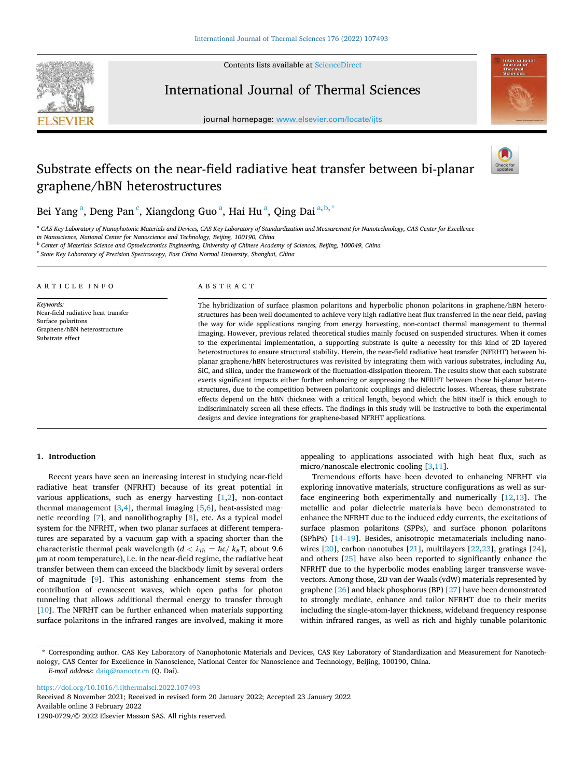

Contents lists available at [ScienceDirect](www.sciencedirect.com/science/journal/12900729)

International Journal of Thermal Sciences

journal homepage: [www.elsevier.com/locate/ijts](https://www.elsevier.com/locate/ijts) 



# Substrate effects on the near-field radiative heat transfer between bi-planar graphene/hBN heterostructures



Bei Yang<sup>a</sup>, Deng Pan<sup>c</sup>, Xiangdong Guo<sup>a</sup>, Hai Hu<sup>a</sup>, Qing Dai<sup>a,b,\*</sup>

<sup>a</sup> CAS Key Laboratory of Nanophotonic Materials and Devices, CAS Key Laboratory of Standardization and Measurement for Nanotechnology, CAS Center for Excellence

*in Nanoscience, National Center for Nanoscience and Technology, Beijing, 100190, China* 

<sup>b</sup> *Center of Materials Science and Optoelectronics Engineering, University of Chinese Academy of Sciences, Beijing, 100049, China* 

<sup>c</sup> *State Key Laboratory of Precision Spectroscopy, East China Normal University, Shanghai, China* 

#### A R T I C L E I N F O

*Keywords:*  Near-field radiative heat transfer Surface polaritons Graphene/hBN heterostructure Substrate effect

## ABSTRACT

The hybridization of surface plasmon polaritons and hyperbolic phonon polaritons in graphene/hBN heterostructures has been well documented to achieve very high radiative heat flux transferred in the near field, paving the way for wide applications ranging from energy harvesting, non-contact thermal management to thermal imaging. However, previous related theoretical studies mainly focused on suspended structures. When it comes to the experimental implementation, a supporting substrate is quite a necessity for this kind of 2D layered heterostructures to ensure structural stability. Herein, the near-field radiative heat transfer (NFRHT) between biplanar graphene/hBN heterostructures was revisited by integrating them with various substrates, including Au, SiC, and silica, under the framework of the fluctuation-dissipation theorem. The results show that each substrate exerts significant impacts either further enhancing or suppressing the NFRHT between those bi-planar heterostructures, due to the competition between polaritonic couplings and dielectric losses. Whereas, these substrate effects depend on the hBN thickness with a critical length, beyond which the hBN itself is thick enough to indiscriminately screen all these effects. The findings in this study will be instructive to both the experimental designs and device integrations for graphene-based NFRHT applications.

# **1. Introduction**

Recent years have seen an increasing interest in studying near-field radiative heat transfer (NFRHT) because of its great potential in various applications, such as energy harvesting  $[1,2]$  $[1,2]$ , non-contact thermal management  $[3,4]$ , thermal imaging  $[5,6]$  $[5,6]$  $[5,6]$  $[5,6]$  $[5,6]$ , heat-assisted magnetic recording [\[7\]](#page-6-0), and nanolithography [\[8\]](#page-6-0), etc. As a typical model system for the NFRHT, when two planar surfaces at different temperatures are separated by a vacuum gap with a spacing shorter than the characteristic thermal peak wavelength ( $d < \lambda_{Th} = \frac{\hbar c}{k_B T}$ , about 9.6 μm at room temperature), i.e. in the near-field regime, the radiative heat transfer between them can exceed the blackbody limit by several orders of magnitude [\[9\]](#page-6-0). This astonishing enhancement stems from the contribution of evanescent waves, which open paths for photon tunneling that allows additional thermal energy to transfer through [[10\]](#page-6-0). The NFRHT can be further enhanced when materials supporting surface polaritons in the infrared ranges are involved, making it more appealing to applications associated with high heat flux, such as micro/nanoscale electronic cooling [[3,11](#page-6-0)].

Tremendous efforts have been devoted to enhancing NFRHT via exploring innovative materials, structure configurations as well as surface engineering both experimentally and numerically [\[12](#page-6-0),[13\]](#page-6-0). The metallic and polar dielectric materials have been demonstrated to enhance the NFRHT due to the induced eddy currents, the excitations of surface plasmon polaritons (SPPs), and surface phonon polaritons (SPhPs) [14–[19\]](#page-6-0). Besides, anisotropic metamaterials including nanowires [\[20](#page-6-0)], carbon nanotubes [[21\]](#page-6-0), multilayers [\[22](#page-6-0),[23\]](#page-6-0), gratings [\[24](#page-6-0)], and others [\[25](#page-6-0)] have also been reported to significantly enhance the NFRHT due to the hyperbolic modes enabling larger transverse wavevectors. Among those, 2D van der Waals (vdW) materials represented by graphene [[26\]](#page-6-0) and black phosphorus (BP) [[27\]](#page-6-0) have been demonstrated to strongly mediate, enhance and tailor NFRHT due to their merits including the single-atom-layer thickness, wideband frequency response within infrared ranges, as well as rich and highly tunable polaritonic

*E-mail address:* [daiq@nanoctr.cn](mailto:daiq@nanoctr.cn) (Q. Dai).

<https://doi.org/10.1016/j.ijthermalsci.2022.107493>

Available online 3 February 2022 Received 8 November 2021; Received in revised form 20 January 2022; Accepted 23 January 2022

<sup>\*</sup> Corresponding author. CAS Key Laboratory of Nanophotonic Materials and Devices, CAS Key Laboratory of Standardization and Measurement for Nanotechnology, CAS Center for Excellence in Nanoscience, National Center for Nanoscience and Technology, Beijing, 100190, China.

<sup>1290-0729/© 2022</sup> Elsevier Masson SAS. All rights reserved.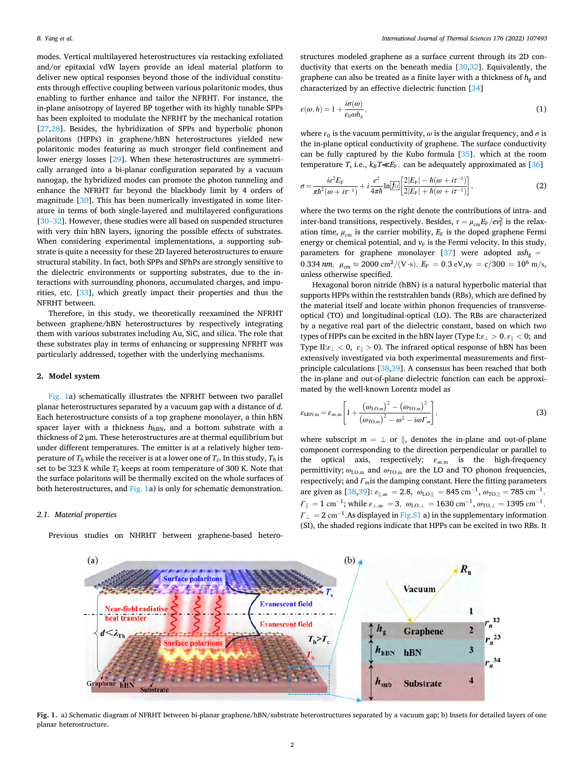<span id="page-1-0"></span>modes. Vertical multilayered heterostructures via restacking exfoliated and/or epitaxial vdW layers provide an ideal material platform to deliver new optical responses beyond those of the individual constituents through effective coupling between various polaritonic modes, thus enabling to further enhance and tailor the NFRHT. For instance, the in-plane anisotropy of layered BP together with its highly tunable SPPs has been exploited to modulate the NFRHT by the mechanical rotation [[27,28](#page-6-0)]. Besides, the hybridization of SPPs and hyperbolic phonon polaritons (HPPs) in graphene/hBN heterostructures yielded new polaritonic modes featuring as much stronger field confinement and lower energy losses [[29\]](#page-6-0). When these heterostructures are symmetrically arranged into a bi-planar configuration separated by a vacuum nanogap, the hybridized modes can promote the photon tunneling and enhance the NFRHT far beyond the blackbody limit by 4 orders of magnitude [\[30](#page-6-0)]. This has been numerically investigated in some literature in terms of both single-layered and multilayered configurations [30–[32\]](#page-6-0). However, these studies were all based on suspended structures with very thin hBN layers, ignoring the possible effects of substrates. When considering experimental implementations, a supporting substrate is quite a necessity for these 2D layered heterostructures to ensure structural stability. In fact, both SPPs and SPhPs are strongly sensitive to the dielectric environments or supporting substrates, due to the interactions with surrounding phonons, accumulated charges, and impurities, etc. [\[33](#page-7-0)], which greatly impact their properties and thus the NFRHT between.

Therefore, in this study, we theoretically reexamined the NFRHT between graphene/hBN heterostructures by respectively integrating them with various substrates including Au, SiC, and silica. The role that these substrates play in terms of enhancing or suppressing NFRHT was particularly addressed, together with the underlying mechanisms.

# **2. Model system**

Fig. 1a) schematically illustrates the NFRHT between two parallel planar heterostructures separated by a vacuum gap with a distance of *d*. Each heterostructure consists of a top graphene monolayer, a thin hBN spacer layer with a thickness  $h_{hBN}$ , and a bottom substrate with a thickness of 2 μm. These heterostructures are at thermal equilibrium but under different temperatures. The emitter is at a relatively higher temperature of  $T_h$  while the receiver is at a lower one of  $T_c$ . In this study,  $T_h$  is set to be 323 K while  $T_c$  keeps at room temperature of 300 K. Note that the surface polaritons will be thermally excited on the whole surfaces of both heterostructures, and Fig. 1a) is only for schematic demonstration.

#### *2.1. Material properties*

Previous studies on NHRHT between graphene-based hetero-

structures modeled graphene as a surface current through its 2D conductivity that exerts on the beneath media [[30,](#page-6-0)[32](#page-7-0)]. Equivalently, the graphene can also be treated as a finite layer with a thickness of  $h_{g}$  and characterized by an effective dielectric function [\[34](#page-7-0)]

$$
\varepsilon(\omega, h) = 1 + \frac{i\sigma(\omega)}{\varepsilon_0 \omega h_g},\tag{1}
$$

where  $\varepsilon_0$  is the vacuum permittivity,  $\omega$  is the angular frequency, and  $\sigma$  is the in-plane optical conductivity of graphene. The surface conductivity can be fully captured by the Kubo formula [\[35](#page-7-0)]*,* which at the room temperature *T*, i.e.,  $k_B T \ll E_F$ , can be adequately approximated as [\[36](#page-7-0)]

$$
\sigma = \frac{ie^2 E_{\rm F}}{\pi \hbar^2 (\omega + i\tau^{-1})} + i \frac{e^2}{4\pi \hbar} \ln \left[ \frac{\dot{Z}|E_{\rm F}| - \hbar (\omega + i\tau^{-1})}{2|E_{\rm F}| + \hbar (\omega + i\tau^{-1})} \right], \tag{2}
$$

where the two terms on the right denote the contributions of intra- and inter-band transitions, respectively. Besides,  $\tau = \mu_{\rm cm} E_{\rm F}/ev_{\rm F}^2$  is the relaxation time,  $\mu_{cm}$  is the carrier mobility,  $E_F$  is the doped graphene Fermi energy or chemical potential, and  $v_F$  is the Fermi velocity. In this study, parameters for graphene monolayer [[37\]](#page-7-0) were adopted ash<sub>g</sub> = 0.334 *nm*,  $\mu_{cm} \approx 2000 \text{ cm}^2 / (\text{V} \cdot \text{s})$ ,  $E_F = 0.3 \text{ eV}$ ,  $\nu_F = c/300 = 10^6 \text{ m/s}$ , unless otherwise specified.

Hexagonal boron nitride (hBN) is a natural hyperbolic material that supports HPPs within the reststrahlen bands (RBs), which are defined by the material itself and locate within phonon frequencies of transverseoptical (TO) and longitudinal-optical (LO). The RBs are characterized by a negative real part of the dielectric constant, based on which two types of HPPs can be excited in the hBN layer (Type I:*ε*<sup>⊥</sup> *>* 0*, ε*‖ *<* 0; and Type II: $\varepsilon_{\perp}$  < 0,  $\varepsilon_{\parallel}$  > 0). The infrared optical response of hBN has been extensively investigated via both experimental measurements and firstprinciple calculations [\[38,39](#page-7-0)]. A consensus has been reached that both the in-plane and out-of-plane dielectric function can each be approximated by the well-known Lorentz model as

$$
\varepsilon_{\text{hBN,m}} = \varepsilon_{\infty,\text{m}} \left[ 1 + \frac{\left( \omega_{\text{LO,m}} \right)^2 - \left( \omega_{\text{TO,m}} \right)^2}{\left( \omega_{\text{TO,m}} \right)^2 - \omega^2 - i\omega \Gamma_m} \right],
$$
(3)

where subscript  $m = \perp$  or  $\parallel$ , denotes the in-plane and out-of-plane component corresponding to the direction perpendicular or parallel to the optical axis, respectively; *ε*∞*,*m is the high-frequency permittivity;  $ω_{LO,m}$  and  $ω_{TO,m}$  are the LO and TO phonon frequencies, respectively; and *Γm*is the damping constant. Here the fitting parameters are given as  $[38,39]$  $[38,39]$  $[38,39]$ :  $\varepsilon_{\parallel,\infty} = 2.8$ ,  $\omega_{\text{LO},\parallel} = 845 \text{ cm}^{-1}$ ,  $\omega_{\text{TO},\parallel} = 785 \text{ cm}^{-1}$ ,  $\Gamma_{\parallel} = 1 \text{ cm}^{-1}$ ; while  $\varepsilon_{\perp, \infty} = 3$ ,  $\omega_{\text{LO},\perp} = 1630 \text{ cm}^{-1}$ ,  $\omega_{\text{TO},\perp} = 1395 \text{ cm}^{-1}$ ,  $\Gamma_{\perp} = 2 \text{ cm}^{-1}$ . As displayed in Fig.S1 a) in the supplementary information (SI), the shaded regions indicate that HPPs can be excited in two RBs. It



**Fig. 1.** a) Schematic diagram of NFRHT between bi-planar graphene/hBN/substrate heterostructures separated by a vacuum gap; b) Insets for detailed layers of one planar heterostructure.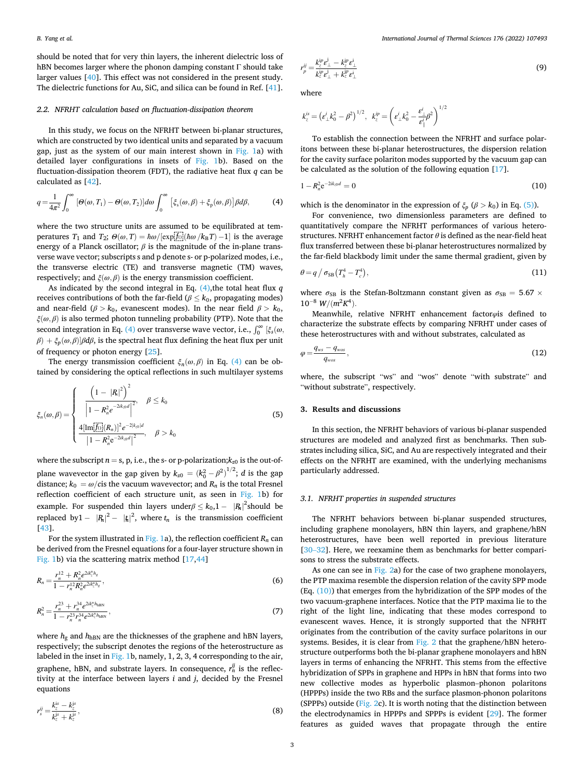<span id="page-2-0"></span>should be noted that for very thin layers, the inherent dielectric loss of hBN becomes larger where the phonon damping constant Γ should take larger values [[40\]](#page-7-0). This effect was not considered in the present study. The dielectric functions for Au, SiC, and silica can be found in Ref. [\[41](#page-7-0)].

## *2.2. NFRHT calculation based on fluctuation-dissipation theorem*

In this study, we focus on the NFRHT between bi-planar structures, which are constructed by two identical units and separated by a vacuum gap, just as the system of our main interest shown in [Fig. 1](#page-1-0)a) with detailed layer configurations in insets of [Fig. 1b](#page-1-0)). Based on the fluctuation-dissipation theorem (FDT), the radiative heat flux *q* can be calculated as [[42\]](#page-7-0).

$$
q = \frac{1}{4\pi^2} \int_0^\infty \left[ \Theta(\omega, T_1) - \Theta(\omega, T_2) \right] d\omega \int_0^\infty \left[ \xi_s(\omega, \beta) + \xi_p(\omega, \beta) \right] \beta d\beta, \tag{4}
$$

where the two structure units are assumed to be equilibrated at temperatures *T*<sub>1</sub> and *T*<sub>2</sub>;  $\Theta(\omega, T) = \hbar \omega / [\exp[\frac{f_0}{\omega}(\hbar \omega / k_B T) - 1]$  is the average energy of a Planck oscillator;  $\beta$  is the magnitude of the in-plane transverse wave vector; subscripts s and p denote s- or p-polarized modes, i.e., the transverse electric (TE) and transverse magnetic (TM) waves, respectively; and  $\xi(\omega, \beta)$  is the energy transmission coefficient.

As indicated by the second integral in Eq. (4),the total heat flux *q*  receives contributions of both the far-field ( $\beta \leq k_0$ , propagating modes) and near-field ( $\beta > k_0$ , evanescent modes). In the near field  $\beta > k_0$ , *ξ*(*ω, β*) is also termed photon tunneling probability (PTP). Note that the  $\int_{\alpha}^{\infty}$  (*a*) *j*, we can be transverse wave vector, i.e.,  $\int_{0}^{\infty}$  [ $\xi_{s}(\omega)$ ,  $β$ ) +  $ξ<sub>p</sub>(ω, β)$ ] $βdβ$ , is the spectral heat flux defining the heat flux per unit of frequency or photon energy [[25\]](#page-6-0).

The energy transmission coefficient  $\xi_n(\omega, \beta)$  in Eq. (4) can be obtained by considering the optical reflections in such multilayer systems

$$
\xi_n(\omega,\beta) = \begin{cases}\n\frac{\left(1 - |R_n|^2\right)^2}{\left|1 - R_n^2 e^{-2ik_0d}\right|^2}, & \beta \le k_0 \\
\frac{4\left[\text{Im}[\overline{f_0}](R_n)\right]^2 e^{-2|k_0|d}}{\left|1 - R_n^2 e^{-2ik_0d}\right|^2}, & \beta > k_0\n\end{cases}
$$
\n(5)

where the subscript  $n = s$ , p, i.e., the s- or p-polarization; $k_{z0}$  is the out-ofplane wavevector in the gap given by  $k_{z0} = (k_0^2 - \beta^2)^{1/2}$ ; *d* is the gap distance;  $k_0 = \omega/c$  is the vacuum wavevector; and  $R_n$  is the total Fresnel reflection coefficient of each structure unit, as seen in [Fig. 1](#page-1-0)b) for example. For suspended thin layers under $\beta \leq k_0, 1 - |R_n|^2$ should be replaced by  $1 - |R_n|^2 - |f_n|^2$ , where  $t_n$  is the transmission coefficient [[43\]](#page-7-0).

For the system illustrated in [Fig. 1a](#page-1-0)), the reflection coefficient  $R_n$  can be derived from the Fresnel equations for a four-layer structure shown in [Fig. 1b](#page-1-0)) via the scattering matrix method [\[17](#page-6-0)[,44](#page-7-0)]

$$
R_n = \frac{r_n^{12} + R_n^2 e^{2ik_c^n h_g}}{1 - r_n^{12} R_n^2 e^{2ik_c^n h_g}},
$$
\n(6)

$$
R_n^2 = \frac{r_n^{23} + r_n^{34} e^{2ik_c^h h_{\text{BBN}}}}{1 - r_n^{23} r_n^{34} e^{2ik_c^h h_{\text{BBN}}}},
$$
\n(7)

where  $h_{g}$  and  $h_{hBN}$  are the thicknesses of the graphene and hBN layers, respectively; the subscript denotes the regions of the heterostructure as labeled in the inset in [Fig. 1](#page-1-0)b, namely, 1, 2, 3, 4 corresponding to the air, graphene, hBN, and substrate layers. In consequence,  $r_n^{ij}$  is the reflectivity at the interface between layers *i* and *j*, decided by the Fresnel equations

$$
r_s^{ij} = \frac{k_z^{is} - k_{\bar{z}}^{is}}{k_z^{is} + k_z^{is}},\tag{8}
$$

$$
r_p^{ij} = \frac{k_z^{ip} \epsilon_{\perp}^j - k_z^{jp} \epsilon_{\perp}^i}{k_z^{ip} \epsilon_{\perp}^i + k_z^{ip} \epsilon_{\perp}^i}
$$
(9)

where

$$
k_z^{is} = (\varepsilon_{\perp}^i k_0^2 - \beta^2)^{1/2}, \ \ k_z^{ip} = \left(\varepsilon_{\perp}^i k_0^2 - \frac{\varepsilon_{\perp}^i}{\varepsilon_{\parallel}^i} \beta^2\right)^{1/2}
$$

To establish the connection between the NFRHT and surface polaritons between these bi-planar heterostructures, the dispersion relation for the cavity surface polariton modes supported by the vacuum gap can be calculated as the solution of the following equation [[17\]](#page-6-0).

$$
1 - R_n^2 e^{-2ik_{30}d} = 0 \tag{10}
$$

which is the denominator in the expression of  $\xi_p$  ( $\beta > k_0$ ) in Eq. (5)).

For convenience, two dimensionless parameters are defined to quantitatively compare the NFRHT performances of various heterostructures. NFRHT enhancement factor *θ* is defined as the near-field heat flux transferred between these bi-planar heterostructures normalized by the far-field blackbody limit under the same thermal gradient, given by

$$
\theta = q / \sigma_{SB} (T_h^4 - T_c^4), \qquad (11)
$$

where  $\sigma_{SB}$  is the Stefan-Boltzmann constant given as  $\sigma_{SB} = 5.67 \times$  $10^{-8}$  *W/*( $m^2K^4$ ).

Meanwhile, relative NFRHT enhancement factor*φ*is defined to characterize the substrate effects by comparing NFRHT under cases of these heterostructures with and without substrates, calculated as

$$
\varphi = \frac{q_{ws} - q_{wos}}{q_{wos}},\tag{12}
$$

where, the subscript "ws" and "wos" denote "with substrate" and "without substrate", respectively.

# **3. Results and discussions**

In this section, the NFRHT behaviors of various bi-planar suspended structures are modeled and analyzed first as benchmarks. Then substrates including silica, SiC, and Au are respectively integrated and their effects on the NFRHT are examined, with the underlying mechanisms particularly addressed.

#### *3.1. NFRHT properties in suspended structures*

The NFRHT behaviors between bi-planar suspended structures, including graphene monolayers, hBN thin layers, and graphene/hBN heterostructures, have been well reported in previous literature [30–[32\]](#page-6-0). Here, we reexamine them as benchmarks for better comparisons to stress the substrate effects.

As one can see in [Fig. 2a](#page-3-0)) for the case of two graphene monolayers, the PTP maxima resemble the dispersion relation of the cavity SPP mode (Eq. (10)) that emerges from the hybridization of the SPP modes of the two vacuum-graphene interfaces. Notice that the PTP maxima lie to the right of the light line, indicating that these modes correspond to evanescent waves. Hence, it is strongly supported that the NFRHT originates from the contribution of the cavity surface polaritons in our systems. Besides, it is clear from [Fig. 2](#page-3-0) that the graphene/hBN heterostructure outperforms both the bi-planar graphene monolayers and hBN layers in terms of enhancing the NFRHT. This stems from the effective hybridization of SPPs in graphene and HPPs in hBN that forms into two new collective modes as hyperbolic plasmon–phonon polaritons (HPPPs) inside the two RBs and the surface plasmon-phonon polaritons (SPPPs) outside [\(Fig. 2c](#page-3-0)). It is worth noting that the distinction between the electrodynamics in HPPPs and SPPPs is evident [[29\]](#page-6-0). The former features as guided waves that propagate through the entire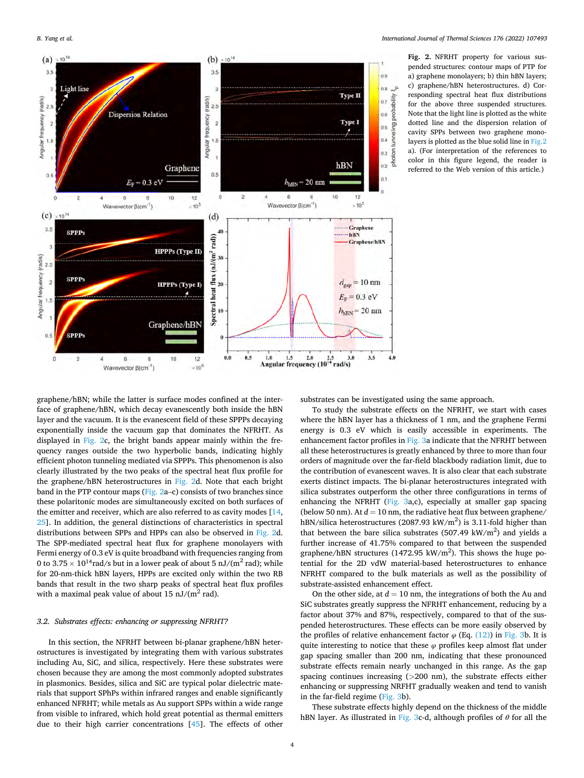<span id="page-3-0"></span>

**Fig. 2.** NFRHT property for various suspended structures: contour maps of PTP for a) graphene monolayers; b) thin hBN layers; c) graphene/hBN heterostructures. d) Corresponding spectral heat flux distributions for the above three suspended structures. Note that the light line is plotted as the white dotted line and the dispersion relation of cavity SPPs between two graphene monolayers is plotted as the blue solid line in Fig.2 a). (For interpretation of the references to color in this figure legend, the reader is referred to the Web version of this article.)

graphene/hBN; while the latter is surface modes confined at the interface of graphene/hBN, which decay evanescently both inside the hBN layer and the vacuum. It is the evanescent field of these SPPPs decaying exponentially inside the vacuum gap that dominates the NFRHT. As displayed in Fig. 2c, the bright bands appear mainly within the frequency ranges outside the two hyperbolic bands, indicating highly efficient photon tunneling mediated via SPPPs. This phenomenon is also clearly illustrated by the two peaks of the spectral heat flux profile for the graphene/hBN heterostructures in Fig. 2d. Note that each bright band in the PTP contour maps (Fig. 2a–c) consists of two branches since these polaritonic modes are simultaneously excited on both surfaces of the emitter and receiver, which are also referred to as cavity modes [\[14](#page-6-0), [25\]](#page-6-0). In addition, the general distinctions of characteristics in spectral distributions between SPPs and HPPs can also be observed in Fig. 2d. The SPP-mediated spectral heat flux for graphene monolayers with Fermi energy of 0.3 eV is quite broadband with frequencies ranging from 0 to 3.75  $\times$  10<sup>14</sup> rad/s but in a lower peak of about 5 nJ/(m<sup>2</sup> rad); while for 20-nm-thick hBN layers, HPPs are excited only within the two RB bands that result in the two sharp peaks of spectral heat flux profiles with a maximal peak value of about 15  $nJ/(m^2 \text{ rad})$ .

# *3.2. Substrates effects: enhancing or suppressing NFRHT?*

In this section, the NFRHT between bi-planar graphene/hBN heterostructures is investigated by integrating them with various substrates including Au, SiC, and silica, respectively. Here these substrates were chosen because they are among the most commonly adopted substrates in plasmonics. Besides, silica and SiC are typical polar dielectric materials that support SPhPs within infrared ranges and enable significantly enhanced NFRHT; while metals as Au support SPPs within a wide range from visible to infrared, which hold great potential as thermal emitters due to their high carrier concentrations [\[45](#page-7-0)]. The effects of other

substrates can be investigated using the same approach.

To study the substrate effects on the NFRHT, we start with cases where the hBN layer has a thickness of 1 nm, and the graphene Fermi energy is 0.3 eV which is easily accessible in experiments. The enhancement factor profiles in [Fig. 3a](#page-4-0) indicate that the NFRHT between all these heterostructures is greatly enhanced by three to more than four orders of magnitude over the far-field blackbody radiation limit, due to the contribution of evanescent waves. It is also clear that each substrate exerts distinct impacts. The bi-planar heterostructures integrated with silica substrates outperform the other three configurations in terms of enhancing the NFRHT ([Fig. 3](#page-4-0)a,c), especially at smaller gap spacing (below 50 nm). At  $d = 10$  nm, the radiative heat flux between graphene/ hBN/silica heterostructures (2087.93 kW/m<sup>2</sup>) is 3.11-fold higher than that between the bare silica substrates  $(507.49 \text{ kW/m}^2)$  and yields a further increase of 41.75% compared to that between the suspended graphene/hBN structures (1472.95  $\text{kW/m}^2$ ). This shows the huge potential for the 2D vdW material-based heterostructures to enhance NFRHT compared to the bulk materials as well as the possibility of substrate-assisted enhancement effect.

On the other side, at  $d = 10$  nm, the integrations of both the Au and SiC substrates greatly suppress the NFRHT enhancement, reducing by a factor about 37% and 87%, respectively, compared to that of the suspended heterostructures. These effects can be more easily observed by the profiles of relative enhancement factor  $\varphi$  (Eq. [\(12\)\)](#page-2-0) in [Fig. 3](#page-4-0)b. It is quite interesting to notice that these *φ* profiles keep almost flat under gap spacing smaller than 200 nm, indicating that these pronounced substrate effects remain nearly unchanged in this range. As the gap spacing continues increasing (*>*200 nm), the substrate effects either enhancing or suppressing NRFHT gradually weaken and tend to vanish in the far-field regime ([Fig. 3b](#page-4-0)).

These substrate effects highly depend on the thickness of the middle hBN layer. As illustrated in [Fig. 3c](#page-4-0)-d, although profiles of *θ* for all the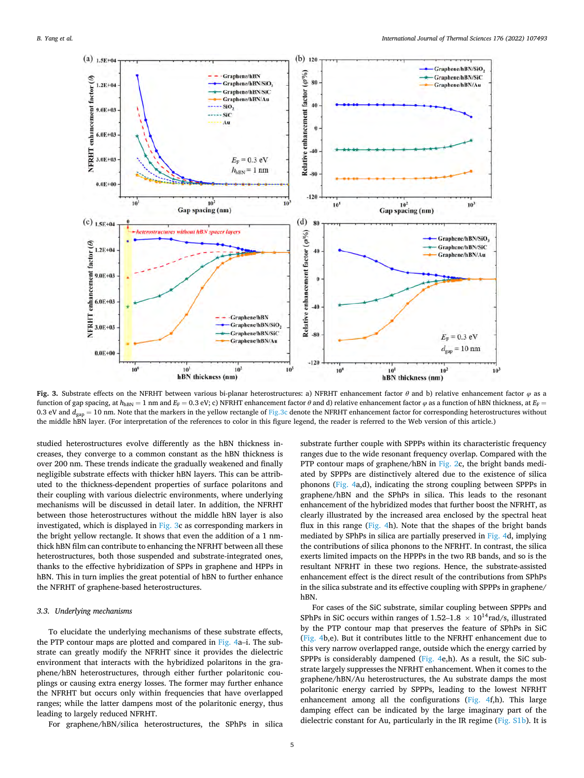<span id="page-4-0"></span>

**Fig. 3.** Substrate effects on the NFRHT between various bi-planar heterostructures: a) NFRHT enhancement factor *θ* and b) relative enhancement factor *φ* as a function of gap spacing, at *h*<sub>hBN</sub> = 1 nm and *E*<sub>F</sub> = 0.3 eV; c) NFRHT enhancement factor *θ* and d) relative enhancement factor *φ* as a function of hBN thickness, at *E*<sub>F</sub> = 0.3 eV and  $d_{\text{gap}} = 10$  nm. Note that the markers in the yellow rectangle of Fig.3c denote the NFRHT enhancement factor for corresponding heterostructures without the middle hBN layer. (For interpretation of the references to color in this figure legend, the reader is referred to the Web version of this article.)

studied heterostructures evolve differently as the hBN thickness increases, they converge to a common constant as the hBN thickness is over 200 nm. These trends indicate the gradually weakened and finally negligible substrate effects with thicker hBN layers. This can be attributed to the thickness-dependent properties of surface polaritons and their coupling with various dielectric environments, where underlying mechanisms will be discussed in detail later. In addition, the NFRHT between those heterostructures without the middle hBN layer is also investigated, which is displayed in Fig. 3c as corresponding markers in the bright yellow rectangle. It shows that even the addition of a 1 nmthick hBN film can contribute to enhancing the NFRHT between all these heterostructures, both those suspended and substrate-integrated ones, thanks to the effective hybridization of SPPs in graphene and HPPs in hBN. This in turn implies the great potential of hBN to further enhance the NFRHT of graphene-based heterostructures.

# *3.3. Underlying mechanisms*

To elucidate the underlying mechanisms of these substrate effects, the PTP contour maps are plotted and compared in [Fig. 4a](#page-5-0)–i. The substrate can greatly modify the NFRHT since it provides the dielectric environment that interacts with the hybridized polaritons in the graphene/hBN heterostructures, through either further polaritonic couplings or causing extra energy losses. The former may further enhance the NFRHT but occurs only within frequencies that have overlapped ranges; while the latter dampens most of the polaritonic energy, thus leading to largely reduced NFRHT.

For graphene/hBN/silica heterostructures, the SPhPs in silica

substrate further couple with SPPPs within its characteristic frequency ranges due to the wide resonant frequency overlap. Compared with the PTP contour maps of graphene/hBN in [Fig. 2c](#page-3-0), the bright bands mediated by SPPPs are distinctively altered due to the existence of silica phonons ([Fig. 4](#page-5-0)a,d), indicating the strong coupling between SPPPs in graphene/hBN and the SPhPs in silica. This leads to the resonant enhancement of the hybridized modes that further boost the NFRHT, as clearly illustrated by the increased area enclosed by the spectral heat flux in this range ([Fig. 4h](#page-5-0)). Note that the shapes of the bright bands mediated by SPhPs in silica are partially preserved in [Fig. 4](#page-5-0)d, implying the contributions of silica phonons to the NFRHT. In contrast, the silica exerts limited impacts on the HPPPs in the two RB bands, and so is the resultant NFRHT in these two regions. Hence, the substrate-assisted enhancement effect is the direct result of the contributions from SPhPs in the silica substrate and its effective coupling with SPPPs in graphene/ hBN.

For cases of the SiC substrate, similar coupling between SPPPs and SPhPs in SiC occurs within ranges of  $1.52-1.8 \times 10^{14}$  rad/s, illustrated by the PTP contour map that preserves the feature of SPhPs in SiC ([Fig. 4b](#page-5-0),e). But it contributes little to the NFRHT enhancement due to this very narrow overlapped range, outside which the energy carried by SPPPs is considerably dampened [\(Fig. 4e](#page-5-0),h). As a result, the SiC substrate largely suppresses the NFRHT enhancement. When it comes to the graphene/hBN/Au heterostructures, the Au substrate damps the most polaritonic energy carried by SPPPs, leading to the lowest NFRHT enhancement among all the configurations [\(Fig. 4](#page-5-0)f,h). This large damping effect can be indicated by the large imaginary part of the dielectric constant for Au, particularly in the IR regime (Fig. S1b). It is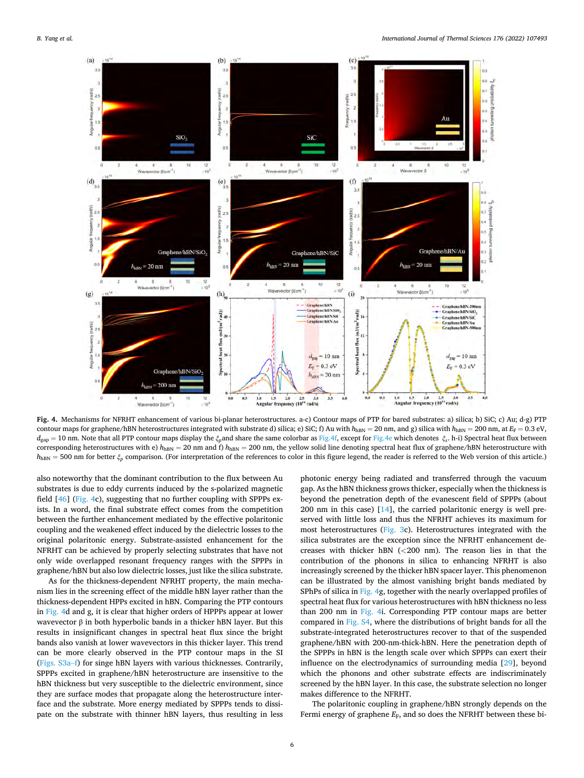<span id="page-5-0"></span>

**Fig. 4.** Mechanisms for NFRHT enhancement of various bi-planar heterostructures. a-c) Contour maps of PTP for bared substrates: a) silica; b) SiC; c) Au; d-g) PTP contour maps for graphene/hBN heterostructures integrated with substrate d) silica; e) SiC; f) Au with  $h_{hBN} = 20$  nm, and g) silica with  $h_{hBN} = 200$  nm, at  $E_F = 0.3$  eV, *d*gap = 10 nm. Note that all PTP contour maps display the *ξp*and share the same colorbar as Fig.4f, except for Fig.4e which denotes *ξs*. h-i) Spectral heat flux between corresponding heterostructures with e)  $h_{\text{hBN}} = 20$  nm and f)  $h_{\text{hBN}} = 200$  nm, the yellow solid line denoting spectral heat flux of graphene/hBN heterostructure with  $h_{\text{hBN}} = 500$  nm for better  $\xi_p$  comparison. (For interpretation of the references to color in this figure legend, the reader is referred to the Web version of this article.)

also noteworthy that the dominant contribution to the flux between Au substrates is due to eddy currents induced by the s-polarized magnetic field [\[46](#page-7-0)] (Fig. 4c), suggesting that no further coupling with SPPPs exists. In a word, the final substrate effect comes from the competition between the further enhancement mediated by the effective polaritonic coupling and the weakened effect induced by the dielectric losses to the original polaritonic energy. Substrate-assisted enhancement for the NFRHT can be achieved by properly selecting substrates that have not only wide overlapped resonant frequency ranges with the SPPPs in graphene/hBN but also low dielectric losses, just like the silica substrate.

As for the thickness-dependent NFRHT property, the main mechanism lies in the screening effect of the middle hBN layer rather than the thickness-dependent HPPs excited in hBN. Comparing the PTP contours in Fig. 4d and g, it is clear that higher orders of HPPPs appear at lower wavevector  $\beta$  in both hyperbolic bands in a thicker hBN layer. But this results in insignificant changes in spectral heat flux since the bright bands also vanish at lower wavevectors in this thicker layer. This trend can be more clearly observed in the PTP contour maps in the SI (Figs. S3a–f) for singe hBN layers with various thicknesses. Contrarily, SPPPs excited in graphene/hBN heterostructure are insensitive to the hBN thickness but very susceptible to the dielectric environment, since they are surface modes that propagate along the heterostructure interface and the substrate. More energy mediated by SPPPs tends to dissipate on the substrate with thinner hBN layers, thus resulting in less photonic energy being radiated and transferred through the vacuum gap. As the hBN thickness grows thicker, especially when the thickness is beyond the penetration depth of the evanescent field of SPPPs (about 200 nm in this case) [\[14](#page-6-0)], the carried polaritonic energy is well preserved with little loss and thus the NFRHT achieves its maximum for most heterostructures [\(Fig. 3](#page-4-0)c). Heterostructures integrated with the silica substrates are the exception since the NFRHT enhancement decreases with thicker hBN (*<*200 nm). The reason lies in that the contribution of the phonons in silica to enhancing NFRHT is also increasingly screened by the thicker hBN spacer layer. This phenomenon can be illustrated by the almost vanishing bright bands mediated by SPhPs of silica in Fig. 4g, together with the nearly overlapped profiles of spectral heat flux for various heterostructures with hBN thickness no less than 200 nm in Fig. 4i. Corresponding PTP contour maps are better compared in Fig. S4, where the distributions of bright bands for all the substrate-integrated heterostructures recover to that of the suspended graphene/hBN with 200-nm-thick-hBN. Here the penetration depth of the SPPPs in hBN is the length scale over which SPPPs can exert their influence on the electrodynamics of surrounding media [[29\]](#page-6-0), beyond which the phonons and other substrate effects are indiscriminately screened by the hBN layer. In this case, the substrate selection no longer makes difference to the NFRHT.

The polaritonic coupling in graphene/hBN strongly depends on the Fermi energy of graphene  $E_F$ , and so does the NFRHT between these bi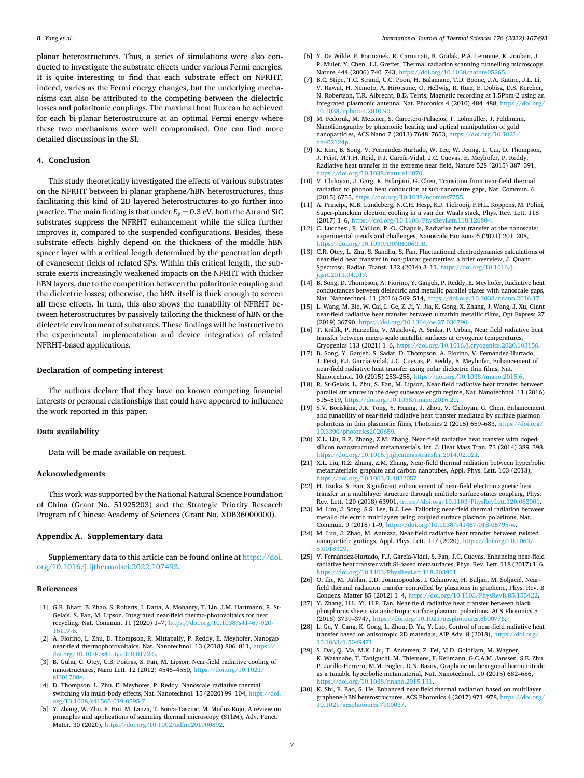<span id="page-6-0"></span>planar heterostructures. Thus, a series of simulations were also conducted to investigate the substrate effects under various Fermi energies. It is quite interesting to find that each substrate effect on NFRHT, indeed, varies as the Fermi energy changes, but the underlying mechanisms can also be attributed to the competing between the dielectric losses and polaritonic couplings. The maximal heat flux can be achieved for each bi-planar heterostructure at an optimal Fermi energy where these two mechanisms were well compromised. One can find more detailed discussions in the SI.

# **4. Conclusion**

This study theoretically investigated the effects of various substrates on the NFRHT between bi-planar graphene/hBN heterostructures, thus facilitating this kind of 2D layered heterostructures to go further into practice. The main finding is that under  $E_F = 0.3$  eV, both the Au and SiC substrates suppress the NFRHT enhancement while the silica further improves it, compared to the suspended configurations. Besides, these substrate effects highly depend on the thickness of the middle hBN spacer layer with a critical length determined by the penetration depth of evanescent fields of related SPs. Within this critical length, the substrate exerts increasingly weakened impacts on the NFRHT with thicker hBN layers, due to the competition between the polaritonic coupling and the dielectric losses; otherwise, the hBN itself is thick enough to screen all these effects. In turn, this also shows the tunability of NFRHT between heterostructures by passively tailoring the thickness of hBN or the dielectric environment of substrates. These findings will be instructive to the experimental implementation and device integration of related NFRHT-based applications.

# **Declaration of competing interest**

The authors declare that they have no known competing financial interests or personal relationships that could have appeared to influence the work reported in this paper.

# **Data availability**

Data will be made available on request.

# **Acknowledgments**

This work was supported by the National Natural Science Foundation of China (Grant No. 51925203) and the Strategic Priority Research Program of Chinese Academy of Sciences (Grant No. XDB36000000).

# **Appendix A. Supplementary data**

Supplementary data to this article can be found online at [https://doi.](https://doi.org/10.1016/j.ijthermalsci.2022.107493)  [org/10.1016/j.ijthermalsci.2022.107493.](https://doi.org/10.1016/j.ijthermalsci.2022.107493)

#### **References**

- [1] G.R. Bhatt, B. Zhao, S. Roberts, I. Datta, A. Mohanty, T. Lin, J.M. Hartmann, R. St-Gelais, S. Fan, M. Lipson, Integrated near-field thermo-photovoltaics for heat recycling, Nat. Commun. 11 (2020) 1–7, [https://doi.org/10.1038/s41467-020-](https://doi.org/10.1038/s41467-020-16197-6)  [16197-6.](https://doi.org/10.1038/s41467-020-16197-6)
- [2] A. Fiorino, L. Zhu, D. Thompson, R. Mittapally, P. Reddy, E. Meyhofer, Nanogap near-field thermophotovoltaics, Nat. Nanotechnol. 13 (2018) 806–811, [https://](https://doi.org/10.1038/s41565-018-0172-5) [doi.org/10.1038/s41565-018-0172-5.](https://doi.org/10.1038/s41565-018-0172-5)
- [3] B. Guha, C. Otey, C.B. Poitras, S. Fan, M. Lipson, Near-field radiative cooling of nanostructures, Nano Lett. 12 (2012) 4546–4550, [https://doi.org/10.1021/](https://doi.org/10.1021/nl301708e)  [nl301708e](https://doi.org/10.1021/nl301708e).
- [4] D. Thompson, L. Zhu, E. Meyhofer, P. Reddy, Nanoscale radiative thermal switching via multi-body effects, Nat. Nanotechnol. 15 (2020) 99–104, [https://doi.](https://doi.org/10.1038/s41565-019-0595-7)  [org/10.1038/s41565-019-0595-7](https://doi.org/10.1038/s41565-019-0595-7).
- [5] Y. Zhang, W. Zhu, F. Hui, M. Lanza, T. Borca-Tasciuc, M. Muñoz Rojo, A review on principles and applications of scanning thermal microscopy (SThM), Adv. Funct. Mater. 30 (2020), <https://doi.org/10.1002/adfm.201900892>.
- [6] Y. De Wilde, F. Formanek, R. Carminati, B. Gralak, P.A. Lemoine, K. Joulain, J. P. Mulet, Y. Chen, J.J. Greffet, Thermal radiation scanning tunnelling microscopy, Nature 444 (2006) 740-743, <https://doi.org/10.1038/nature05265>
- [7] B.C. Stipe, T.C. Strand, C.C. Poon, H. Balamane, T.D. Boone, J.A. Katine, J.L. Li, V. Rawat, H. Nemoto, A. Hirotsune, O. Hellwig, R. Ruiz, E. Dobisz, D.S. Kercher, N. Robertson, T.R. Albrecht, B.D. Terris, Magnetic recording at 1.5Pbm-2 using an integrated plasmonic antenna, Nat. Photonics 4 (2010) 484-488, https://doi.org, [10.1038/nphoton.2010.90](https://doi.org/10.1038/nphoton.2010.90).
- [8] M. Fedoruk, M. Meixner, S. Carretero-Palacios, T. Lohmüller, J. Feldmann, Nanolithography by plasmonic heating and optical manipulation of gold nanoparticles, ACS Nano 7 (2013) 7648–7653, [https://doi.org/10.1021/](https://doi.org/10.1021/nn402124p) [nn402124p](https://doi.org/10.1021/nn402124p).
- [9] K. Kim, B. Song, V. Fernández-Hurtado, W. Lee, W. Jeong, L. Cui, D. Thompson, J. Feist, M.T.H. Reid, F.J. García-Vidal, J.C. Cuevas, E. Meyhofer, P. Reddy, Radiative heat transfer in the extreme near field, Nature 528 (2015) 387–391, [https://doi.org/10.1038/nature16070.](https://doi.org/10.1038/nature16070)
- [10] V. Chiloyan, J. Garg, K. Esfarjani, G. Chen, Transition from near-field thermal radiation to phonon heat conduction at sub-nanometre gaps, Nat. Commun. 6 (2015) 6755, <https://doi.org/10.1038/ncomms7755>.
- [11] A. Principi, M.B. Lundeberg, N.C.H. Hesp, K.J. Tielrooij, F.H.L. Koppens, M. Polini, Super-planckian electron cooling in a van der Waals stack, Phys. Rev. Lett. 118 (2017) 1–6, <https://doi.org/10.1103/PhysRevLett.118.126804>.
- [12] C. Lucchesi, R. Vaillon, P.-O. Chapuis, Radiative heat transfer at the nanoscale: experimental trends and challenges, Nanoscale Horizons 6 (2021) 201–208, <https://doi.org/10.1039/D0NH00609B>.
- [13] C.R. Otey, L. Zhu, S. Sandhu, S. Fan, Fluctuational electrodynamics calculations of near-field heat transfer in non-planar geometries: a brief overview, J. Quant. Spectrosc. Radiat. Transf. 132 (2014) 3–11, [https://doi.org/10.1016/j.](https://doi.org/10.1016/j.jqsrt.2013.04.017) <sub>1</sub><br>1srt.2013.04.017.
- [14] B. Song, D. Thompson, A. Fiorino, Y. Ganjeh, P. Reddy, E. Meyhofer, Radiative heat conductances between dielectric and metallic parallel plates with nanoscale gaps, Nat. Nanotechnol. 11 (2016) 509-514, https://doi.org/10.1038/nnano.2016.1
- [15] L. Wang, M. Bie, W. Cai, L. Ge, Z. Ji, Y. Jia, K. Gong, X. Zhang, J. Wang, J. Xu, Giant near-field radiative heat transfer between ultrathin metallic films, Opt Express 27 (2019) 36790, https://doi.org/10.1364/oe.27.036
- [16] T. Králík, P. Hanzelka, V. Musilová, A. Srnka, P. Urban, Near field radiative heat transfer between macro-scale metallic surfaces at cryogenic temperatures, Cryogenics 113 (2021) 1–6, <https://doi.org/10.1016/j.cryogenics.2020.103156>.
- [17] B. Song, Y. Ganjeh, S. Sadat, D. Thompson, A. Fiorino, V. Fernández-Hurtado, J. Feist, F.J. Garcia-Vidal, J.C. Cuevas, P. Reddy, E. Meyhofer, Enhancement of near-field radiative heat transfer using polar dielectric thin films, Nat. Nanotechnol. 10 (2015) 253–258, [https://doi.org/10.1038/nnano.2015.6.](https://doi.org/10.1038/nnano.2015.6)
- [18] R. St-Gelais, L. Zhu, S. Fan, M. Lipson, Near-field radiative heat transfer between parallel structures in the deep subwavelength regime, Nat. Nanotechnol. 11 (2016) 515–519, <https://doi.org/10.1038/nnano.2016.20>.
- [19] S.V. Boriskina, J.K. Tong, Y. Huang, J. Zhou, V. Chiloyan, G. Chen, Enhancement and tunability of near-field radiative heat transfer mediated by surface plasmon polaritons in thin plasmonic films, Photonics 2 (2015) 659–683, [https://doi.org/](https://doi.org/10.3390/photonics2020659)  0.3390/photonics202065
- [20] X.L. Liu, R.Z. Zhang, Z.M. Zhang, Near-field radiative heat transfer with dopedsilicon nanostructured metamaterials, Int. J. Heat Mass Tran. 73 (2014) 389–398, [https://doi.org/10.1016/j.ijheatmasstransfer.2014.02.021.](https://doi.org/10.1016/j.ijheatmasstransfer.2014.02.021)
- [21] X.L. Liu, R.Z. Zhang, Z.M. Zhang, Near-field thermal radiation between hyperbolic metamaterials: graphite and carbon nanotubes, Appl. Phys. Lett. 103 (2013), <https://doi.org/10.1063/1.4832057>.
- [22] H. Iizuka, S. Fan, Significant enhancement of near-field electromagnetic heat transfer in a multilayer structure through multiple surface-states coupling, Phys. Rev. Lett. 120 (2018) 63901, [https://doi.org/10.1103/PhysRevLett.120.063901.](https://doi.org/10.1103/PhysRevLett.120.063901)
- [23] M. Lim, J. Song, S.S. Lee, B.J. Lee, Tailoring near-field thermal radiation between metallo-dielectric multilayers using coupled surface plasmon polaritons, Nat. Commun. 9 (2018) 1–9, [https://doi.org/10.1038/s41467-018-06795-w.](https://doi.org/10.1038/s41467-018-06795-w)
- [24] M. Luo, J. Zhao, M. Antezza, Near-field radiative heat transfer between twisted nanoparticle gratings, Appl. Phys. Lett. 117 (2020), [https://doi.org/10.1063/](https://doi.org/10.1063/5.0018329) [5.0018329.](https://doi.org/10.1063/5.0018329)
- [25] V. Fernández-Hurtado, F.J. García-Vidal, S. Fan, J.C. Cuevas, Enhancing near-field radiative heat transfer with Si-based metasurfaces, Phys. Rev. Lett. 118 (2017) 1–6, [https://doi.org/10.1103/PhysRevLett.118.203901.](https://doi.org/10.1103/PhysRevLett.118.203901)
- [26] O. Ilic, M. Jablan, J.D. Joannopoulos, I. Celanovic, H. Buljan, M. Soljačić, Nearfield thermal radiation transfer controlled by plasmons in graphene, Phys. Rev. B Condens. Matter 85 (2012) 1-4, https://doi.org/10.1103/PhysRevB.85.15542
- [27] Y. Zhang, H.L. Yi, H.P. Tan, Near-field radiative heat transfer between black phosphorus sheets via anisotropic surface plasmon polaritons, ACS Photonics 5 (2018) 3739–3747, <https://doi.org/10.1021/acsphotonics.8b00776>.
- [28] L. Ge, Y. Cang, K. Gong, L. Zhou, D. Yu, Y. Luo, Control of near-field radiative heat transfer based on anisotropic 2D materials, AIP Adv. 8 (2018), https://doi.org/ [10.1063/1.5049471](https://doi.org/10.1063/1.5049471).
- [29] S. Dai, Q. Ma, M.K. Liu, T. Andersen, Z. Fei, M.D. Goldflam, M. Wagner, K. Watanabe, T. Taniguchi, M. Thiemens, F. Keilmann, G.C.A.M. Janssen, S.E. Zhu, P. Jarillo-Herrero, M.M. Fogler, D.N. Basov, Graphene on hexagonal boron nitride as a tunable hyperbolic metamaterial, Nat. Nanotechnol. 10 (2015) 682–686, <https://doi.org/10.1038/nnano.2015.131>.
- [30] K. Shi, F. Bao, S. He, Enhanced near-field thermal radiation based on multilayer graphene-hBN heterostructures, ACS Photonics 4 (2017) 971–978, [https://doi.org/](https://doi.org/10.1021/acsphotonics.7b00037)  [10.1021/acsphotonics.7b00037.](https://doi.org/10.1021/acsphotonics.7b00037)